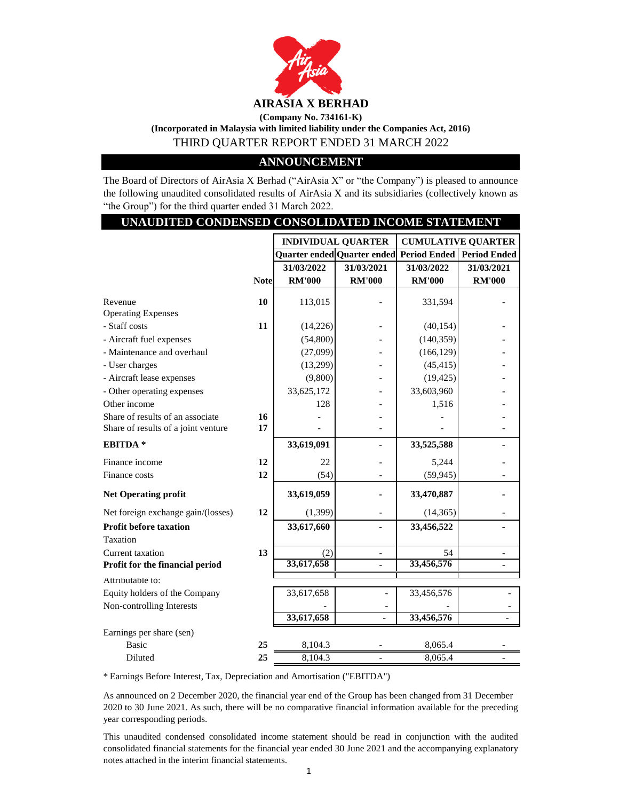

**(Incorporated in Malaysia with limited liability under the Companies Act, 2016)**

THIRD QUARTER REPORT ENDED 31 MARCH 2022

# **ANNOUNCEMENT**

The Board of Directors of AirAsia X Berhad ("AirAsia X" or "the Company") is pleased to announce the following unaudited consolidated results of AirAsia X and its subsidiaries (collectively known as "the Group") for the third quarter ended 31 March 2022.

| UNAUDITED CONDENSED CONSOLIDATED INCOME STATEMENT |             |                           |                                                       |               |                           |
|---------------------------------------------------|-------------|---------------------------|-------------------------------------------------------|---------------|---------------------------|
|                                                   |             | <b>INDIVIDUAL QUARTER</b> |                                                       |               | <b>CUMULATIVE QUARTER</b> |
|                                                   |             |                           | Quarter ended Quarter ended Period Ended Period Ended |               |                           |
|                                                   |             | 31/03/2022                | 31/03/2021                                            | 31/03/2022    | 31/03/2021                |
|                                                   | <b>Note</b> | <b>RM'000</b>             | <b>RM'000</b>                                         | <b>RM'000</b> | <b>RM'000</b>             |
| Revenue                                           | 10          | 113,015                   |                                                       | 331,594       |                           |
| <b>Operating Expenses</b>                         |             |                           |                                                       |               |                           |
| - Staff costs                                     | 11          | (14, 226)                 |                                                       | (40, 154)     |                           |
| - Aircraft fuel expenses                          |             | (54,800)                  |                                                       | (140, 359)    |                           |
| - Maintenance and overhaul                        |             | (27,099)                  |                                                       | (166, 129)    |                           |
| - User charges                                    |             | (13,299)                  |                                                       | (45, 415)     |                           |
| - Aircraft lease expenses                         |             | (9,800)                   |                                                       | (19, 425)     |                           |
| - Other operating expenses                        |             | 33,625,172                |                                                       | 33,603,960    |                           |
| Other income                                      |             | 128                       |                                                       | 1,516         |                           |
| Share of results of an associate                  | 16          |                           |                                                       |               |                           |
| Share of results of a joint venture               | 17          |                           |                                                       |               |                           |
| EBITDA <sup>*</sup>                               |             | 33,619,091                |                                                       | 33,525,588    |                           |
| Finance income                                    | 12          | 22                        |                                                       | 5,244         |                           |
| Finance costs                                     | 12          | (54)                      |                                                       | (59, 945)     |                           |
| <b>Net Operating profit</b>                       |             | 33,619,059                |                                                       | 33,470,887    |                           |
| Net foreign exchange gain/(losses)                | 12          | (1,399)                   |                                                       | (14, 365)     |                           |
| <b>Profit before taxation</b>                     |             | 33,617,660                |                                                       | 33,456,522    |                           |
| Taxation                                          |             |                           |                                                       |               |                           |
| Current taxation                                  | 13          | (2)                       | $\frac{1}{2}$                                         | 54            |                           |
| Profit for the financial period                   |             | 33,617,658                |                                                       | 33,456,576    |                           |
| Attributable to:                                  |             |                           |                                                       |               |                           |
| Equity holders of the Company                     |             | 33,617,658                |                                                       | 33,456,576    |                           |
| Non-controlling Interests                         |             |                           |                                                       |               |                           |
|                                                   |             | 33,617,658                |                                                       | 33,456,576    |                           |
| Earnings per share (sen)                          |             |                           |                                                       |               |                           |
| <b>Basic</b>                                      | 25          | 8,104.3                   |                                                       | 8,065.4       |                           |
| Diluted                                           | 25          | 8,104.3                   |                                                       | 8,065.4       |                           |

\* Earnings Before Interest, Tax, Depreciation and Amortisation ("EBITDA")

As announced on 2 December 2020, the financial year end of the Group has been changed from 31 December 2020 to 30 June 2021. As such, there will be no comparative financial information available for the preceding year corresponding periods.

This unaudited condensed consolidated income statement should be read in conjunction with the audited consolidated financial statements for the financial year ended 30 June 2021 and the accompanying explanatory notes attached in the interim financial statements.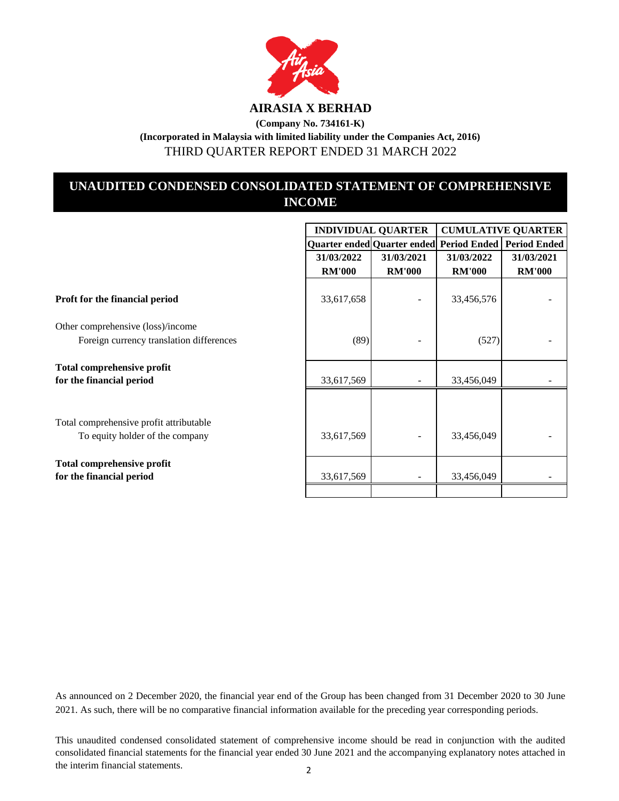

# **(Company No. 734161-K) (Incorporated in Malaysia with limited liability under the Companies Act, 2016)** THIRD QUARTER REPORT ENDED 31 MARCH 2022

# **UNAUDITED CONDENSED CONSOLIDATED STATEMENT OF COMPREHENSIVE INCOME**

|                                                                            | <b>INDIVIDUAL QUARTER</b> |                                                       | <b>CUMULATIVE QUARTER</b> |               |
|----------------------------------------------------------------------------|---------------------------|-------------------------------------------------------|---------------------------|---------------|
|                                                                            |                           | Quarter ended Quarter ended Period Ended Period Ended |                           |               |
|                                                                            | 31/03/2022                | 31/03/2021                                            | 31/03/2022                | 31/03/2021    |
|                                                                            | <b>RM'000</b>             | <b>RM'000</b>                                         | <b>RM'000</b>             | <b>RM'000</b> |
| Proft for the financial period                                             | 33,617,658                |                                                       | 33,456,576                |               |
| Other comprehensive (loss)/income                                          |                           |                                                       |                           |               |
| Foreign currency translation differences                                   | (89)                      |                                                       | (527)                     |               |
| <b>Total comprehensive profit</b><br>for the financial period              | 33,617,569                |                                                       | 33,456,049                |               |
|                                                                            |                           |                                                       |                           |               |
| Total comprehensive profit attributable<br>To equity holder of the company | 33,617,569                |                                                       | 33,456,049                |               |
| <b>Total comprehensive profit</b><br>for the financial period              | 33,617,569                |                                                       | 33,456,049                |               |
|                                                                            |                           |                                                       |                           |               |

As announced on 2 December 2020, the financial year end of the Group has been changed from 31 December 2020 to 30 June 2021. As such, there will be no comparative financial information available for the preceding year corresponding periods.

This unaudited condensed consolidated statement of comprehensive income should be read in conjunction with the audited consolidated financial statements for the financial year ended 30 June 2021 and the accompanying explanatory notes attached in the interim financial statements. 2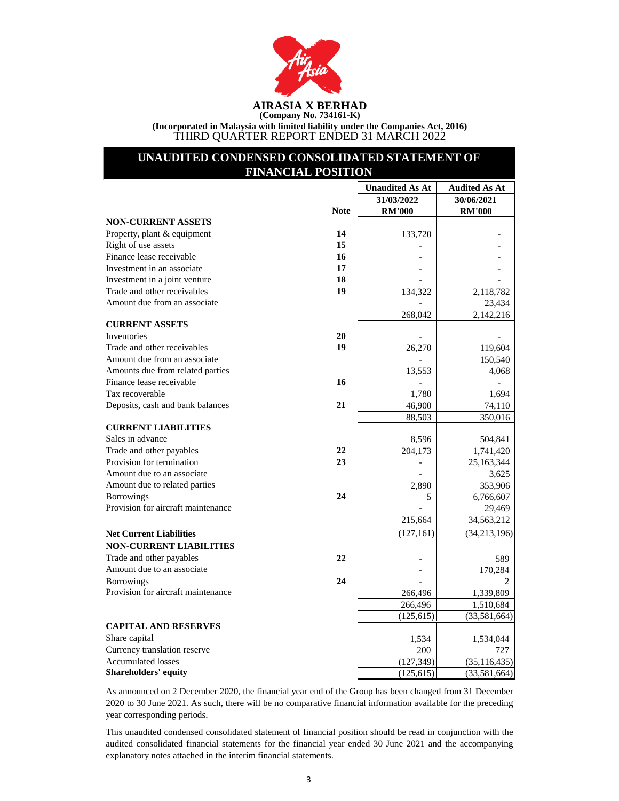

**(Incorporated in Malaysia with limited liability under the Companies Act, 2016)** THIRD QUARTER REPORT ENDED 31 MARCH 2022

# **UNAUDITED CONDENSED CONSOLIDATED STATEMENT OF FINANCIAL POSITION**

|                                    |             | <b>Unaudited As At</b> | <b>Audited As At</b> |
|------------------------------------|-------------|------------------------|----------------------|
|                                    |             | 31/03/2022             | 30/06/2021           |
|                                    | <b>Note</b> | <b>RM'000</b>          | <b>RM'000</b>        |
| <b>NON-CURRENT ASSETS</b>          |             |                        |                      |
| Property, plant & equipment        | 14          | 133,720                |                      |
| Right of use assets                | 15          |                        |                      |
| Finance lease receivable           | 16          |                        |                      |
| Investment in an associate         | 17          |                        |                      |
| Investment in a joint venture      | 18          |                        |                      |
| Trade and other receivables        | 19          | 134,322                | 2,118,782            |
| Amount due from an associate       |             |                        | 23,434               |
|                                    |             | 268,042                | 2,142,216            |
| <b>CURRENT ASSETS</b>              |             |                        |                      |
| Inventories                        | 20          |                        |                      |
| Trade and other receivables        | 19          | 26,270                 | 119,604              |
| Amount due from an associate       |             |                        | 150,540              |
| Amounts due from related parties   |             | 13,553                 | 4,068                |
| Finance lease receivable           | 16          |                        |                      |
| Tax recoverable                    |             | 1,780                  | 1,694                |
| Deposits, cash and bank balances   | 21          | 46,900                 | 74,110               |
|                                    |             | 88,503                 | 350,016              |
| <b>CURRENT LIABILITIES</b>         |             |                        |                      |
| Sales in advance                   |             | 8,596                  | 504,841              |
| Trade and other payables           | 22          | 204,173                | 1,741,420            |
| Provision for termination          | 23          |                        | 25,163,344           |
| Amount due to an associate         |             |                        | 3,625                |
| Amount due to related parties      |             | 2,890                  | 353,906              |
| <b>Borrowings</b>                  | 24          | 5                      | 6,766,607            |
| Provision for aircraft maintenance |             |                        | 29,469               |
|                                    |             | 215,664                | 34,563,212           |
| <b>Net Current Liabilities</b>     |             | (127, 161)             | (34, 213, 196)       |
| <b>NON-CURRENT LIABILITIES</b>     |             |                        |                      |
| Trade and other payables           | 22          |                        | 589                  |
| Amount due to an associate         |             |                        | 170,284              |
| <b>Borrowings</b>                  | 24          |                        |                      |
| Provision for aircraft maintenance |             | 266,496                | 1,339,809            |
|                                    |             | 266,496                | 1,510,684            |
|                                    |             | (125, 615)             | (33,581,664)         |
| <b>CAPITAL AND RESERVES</b>        |             |                        |                      |
| Share capital                      |             | 1,534                  | 1,534,044            |
| Currency translation reserve       |             | 200                    | 727                  |
| <b>Accumulated losses</b>          |             | (127, 349)             | (35, 116, 435)       |
| <b>Shareholders' equity</b>        |             | (125, 615)             | (33,581,664)         |

As announced on 2 December 2020, the financial year end of the Group has been changed from 31 December 2020 to 30 June 2021. As such, there will be no comparative financial information available for the preceding year corresponding periods.

This unaudited condensed consolidated statement of financial position should be read in conjunction with the audited consolidated financial statements for the financial year ended 30 June 2021 and the accompanying explanatory notes attached in the interim financial statements.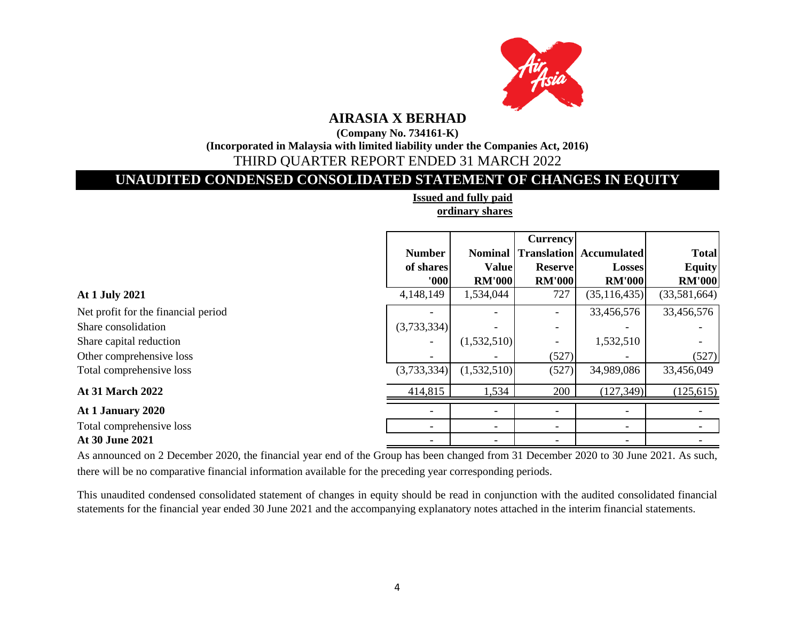

**(Company No. 734161-K)**

**(Incorporated in Malaysia with limited liability under the Companies Act, 2016)**

# THIRD QUARTER REPORT ENDED 31 MARCH 2022

# **UNAUDITED CONDENSED CONSOLIDATED STATEMENT OF CHANGES IN EQUITY**

|                                     |                          |                | <b>Currency</b>          |                                |               |
|-------------------------------------|--------------------------|----------------|--------------------------|--------------------------------|---------------|
|                                     | <b>Number</b>            | <b>Nominal</b> |                          | <b>Translation</b> Accumulated | <b>Total</b>  |
|                                     | of shares                | <b>Value</b>   | <b>Reserve</b>           | <b>Losses</b>                  | <b>Equity</b> |
|                                     | 000                      | <b>RM'000</b>  | <b>RM'000</b>            | <b>RM'000</b>                  | <b>RM'000</b> |
| At 1 July 2021                      | 4,148,149                | 1,534,044      | 727                      | (35, 116, 435)                 | (33,581,664)  |
| Net profit for the financial period |                          |                |                          | 33,456,576                     | 33,456,576    |
| Share consolidation                 | (3,733,334)              |                | $\overline{\phantom{0}}$ |                                |               |
| Share capital reduction             | $\overline{\phantom{0}}$ | (1,532,510)    | $\overline{\phantom{a}}$ | 1,532,510                      |               |
| Other comprehensive loss            |                          |                | (527)                    |                                | (527)         |
| Total comprehensive loss            | (3,733,334)              | (1,532,510)    | (527)                    | 34,989,086                     | 33,456,049    |
| <b>At 31 March 2022</b>             | 414,815                  | 1,534          | 200                      | (127, 349)                     | (125, 615)    |
| At 1 January 2020                   | $\overline{\phantom{0}}$ |                |                          |                                |               |
| Total comprehensive loss            | -                        |                | -                        | $\overline{\phantom{a}}$       |               |
| At 30 June 2021                     |                          |                |                          |                                |               |

**Issued and fully paid ordinary shares**

As announced on 2 December 2020, the financial year end of the Group has been changed from 31 December 2020 to 30 June 2021. As such, there will be no comparative financial information available for the preceding year corresponding periods.

This unaudited condensed consolidated statement of changes in equity should be read in conjunction with the audited consolidated financial statements for the financial year ended 30 June 2021 and the accompanying explanatory notes attached in the interim financial statements.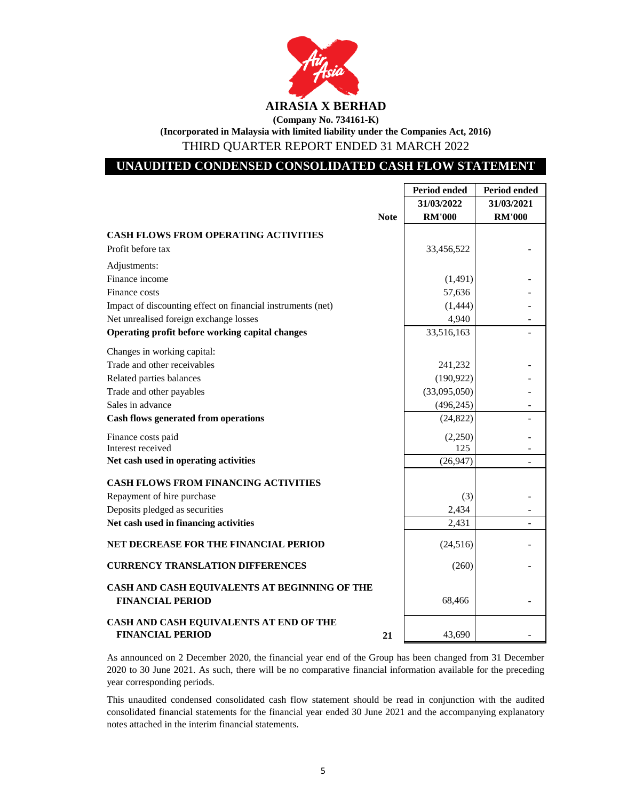

|                                                                          | <b>Period ended</b> | Period ended  |
|--------------------------------------------------------------------------|---------------------|---------------|
|                                                                          | 31/03/2022          | 31/03/2021    |
| <b>Note</b>                                                              | <b>RM'000</b>       | <b>RM'000</b> |
| <b>CASH FLOWS FROM OPERATING ACTIVITIES</b>                              |                     |               |
| Profit before tax                                                        | 33,456,522          |               |
| Adjustments:                                                             |                     |               |
| Finance income                                                           | (1, 491)            |               |
| Finance costs                                                            | 57,636              |               |
| Impact of discounting effect on financial instruments (net)              | (1,444)             |               |
| Net unrealised foreign exchange losses                                   | 4,940               |               |
| Operating profit before working capital changes                          | 33,516,163          |               |
| Changes in working capital:                                              |                     |               |
| Trade and other receivables                                              | 241,232             |               |
| Related parties balances                                                 | (190, 922)          |               |
| Trade and other payables                                                 | (33,095,050)        |               |
| Sales in advance                                                         | (496, 245)          |               |
| <b>Cash flows generated from operations</b>                              | (24, 822)           |               |
| Finance costs paid                                                       | (2,250)             |               |
| Interest received                                                        | 125                 |               |
| Net cash used in operating activities                                    | (26,947)            | ÷             |
| <b>CASH FLOWS FROM FINANCING ACTIVITIES</b>                              |                     |               |
| Repayment of hire purchase                                               | (3)                 |               |
| Deposits pledged as securities                                           | 2,434               |               |
| Net cash used in financing activities                                    | 2,431               |               |
| NET DECREASE FOR THE FINANCIAL PERIOD                                    | (24, 516)           |               |
| <b>CURRENCY TRANSLATION DIFFERENCES</b>                                  | (260)               |               |
| CASH AND CASH EQUIVALENTS AT BEGINNING OF THE<br><b>FINANCIAL PERIOD</b> | 68,466              |               |
| CASH AND CASH EQUIVALENTS AT END OF THE<br><b>FINANCIAL PERIOD</b><br>21 | 43.690              |               |

As announced on 2 December 2020, the financial year end of the Group has been changed from 31 December 2020 to 30 June 2021. As such, there will be no comparative financial information available for the preceding year corresponding periods.

This unaudited condensed consolidated cash flow statement should be read in conjunction with the audited consolidated financial statements for the financial year ended 30 June 2021 and the accompanying explanatory notes attached in the interim financial statements.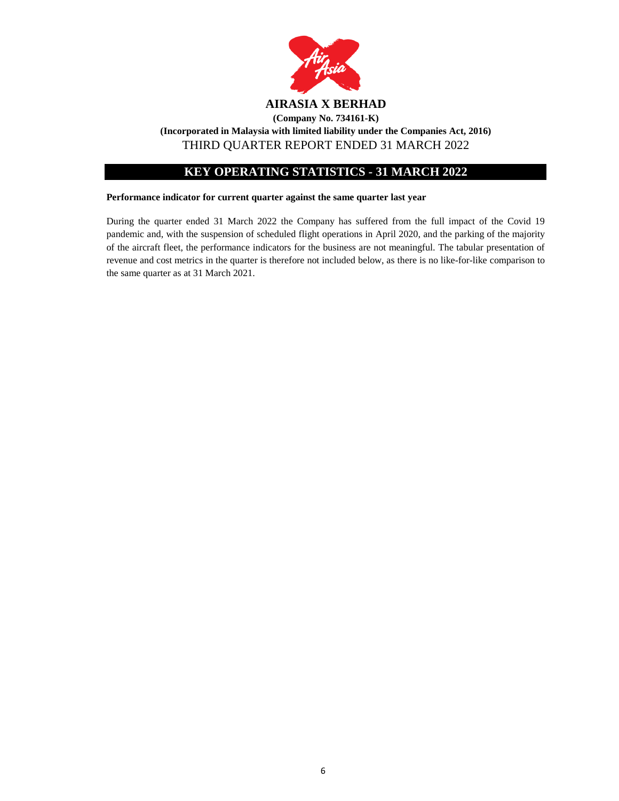

# **KEY OPERATING STATISTICS - 31 MARCH 2022**

# **Performance indicator for current quarter against the same quarter last year**

During the quarter ended 31 March 2022 the Company has suffered from the full impact of the Covid 19 pandemic and, with the suspension of scheduled flight operations in April 2020, and the parking of the majority of the aircraft fleet, the performance indicators for the business are not meaningful. The tabular presentation of revenue and cost metrics in the quarter is therefore not included below, as there is no like-for-like comparison to the same quarter as at 31 March 2021.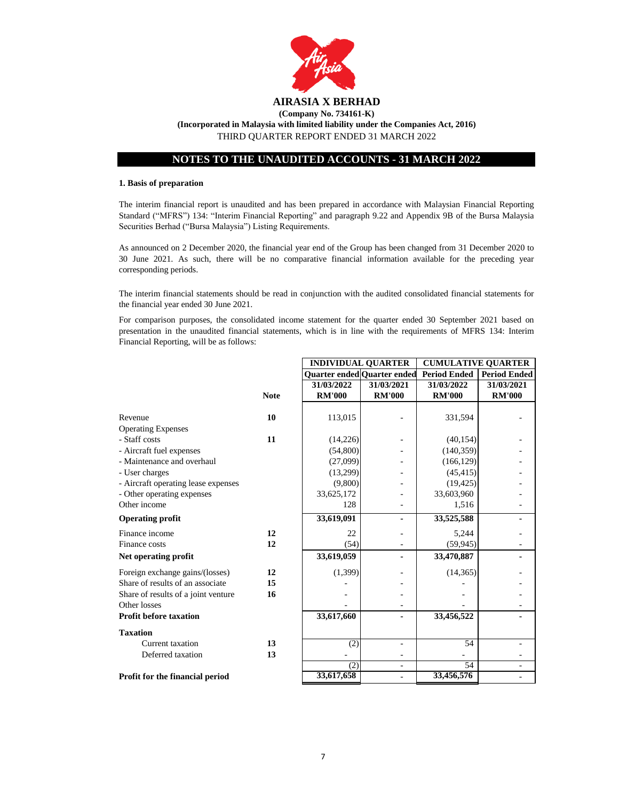

# **NOTES TO THE UNAUDITED ACCOUNTS - 31 MARCH 2022**

## **1. Basis of preparation**

The interim financial report is unaudited and has been prepared in accordance with Malaysian Financial Reporting Standard ("MFRS") 134: "Interim Financial Reporting" and paragraph 9.22 and Appendix 9B of the Bursa Malaysia Securities Berhad ("Bursa Malaysia") Listing Requirements.

As announced on 2 December 2020, the financial year end of the Group has been changed from 31 December 2020 to 30 June 2021. As such, there will be no comparative financial information available for the preceding year corresponding periods.

The interim financial statements should be read in conjunction with the audited consolidated financial statements for the financial year ended 30 June 2021.

For comparison purposes, the consolidated income statement for the quarter ended 30 September 2021 based on presentation in the unaudited financial statements, which is in line with the requirements of MFRS 134: Interim Financial Reporting, will be as follows:

**INDIVIDUAL QUARTER CUMULATIVE QUARTER**

|                                     |             | Quarter ended Quarter ended |               | <b>Period Ended</b> | <b>Period Ended</b> |
|-------------------------------------|-------------|-----------------------------|---------------|---------------------|---------------------|
|                                     |             | 31/03/2022                  | 31/03/2021    | 31/03/2022          | 31/03/2021          |
|                                     | <b>Note</b> | <b>RM'000</b>               | <b>RM'000</b> | <b>RM'000</b>       | <b>RM'000</b>       |
|                                     |             |                             |               |                     |                     |
| Revenue                             | 10          | 113,015                     |               | 331,594             |                     |
| <b>Operating Expenses</b>           |             |                             |               |                     |                     |
| - Staff costs                       | 11          | (14,226)                    |               | (40, 154)           |                     |
| - Aircraft fuel expenses            |             | (54,800)                    |               | (140, 359)          |                     |
| - Maintenance and overhaul          |             | (27,099)                    |               | (166, 129)          |                     |
| - User charges                      |             | (13,299)                    |               | (45, 415)           |                     |
| - Aircraft operating lease expenses |             | (9,800)                     |               | (19, 425)           |                     |
| - Other operating expenses          |             | 33,625,172                  |               | 33,603,960          |                     |
| Other income                        |             | 128                         |               | 1,516               |                     |
| <b>Operating profit</b>             |             | 33,619,091                  |               | 33,525,588          |                     |
| Finance income                      | 12          | 22                          |               | 5,244               |                     |
| Finance costs                       | 12          | (54)                        |               | (59, 945)           |                     |
| Net operating profit                |             | 33,619,059                  |               | 33,470,887          |                     |
| Foreign exchange gains/(losses)     | 12          | (1,399)                     |               | (14, 365)           |                     |
| Share of results of an associate    | 15          |                             |               |                     |                     |
| Share of results of a joint venture | 16          |                             |               |                     |                     |
| Other losses                        |             |                             |               |                     |                     |
| <b>Profit before taxation</b>       |             | 33,617,660                  |               | 33,456,522          |                     |
| <b>Taxation</b>                     |             |                             |               |                     |                     |
| Current taxation                    | 13          | (2)                         |               | 54                  |                     |
| Deferred taxation                   | 13          |                             |               |                     |                     |
|                                     |             | (2)                         |               | 54                  |                     |
| Profit for the financial period     |             | 33,617,658                  |               | 33,456,576          |                     |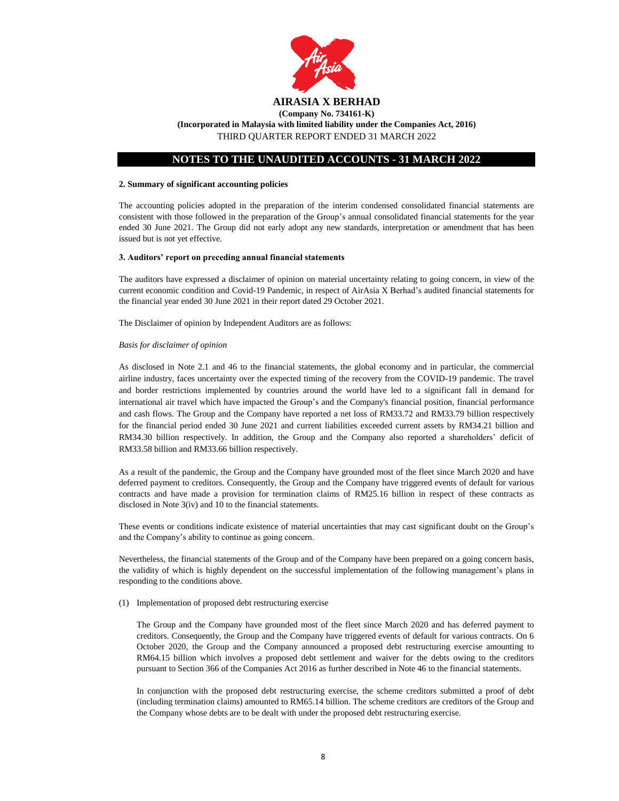

# **NOTES TO THE UNAUDITED ACCOUNTS - 31 MARCH 2022**

#### **2. Summary of significant accounting policies**

The accounting policies adopted in the preparation of the interim condensed consolidated financial statements are consistent with those followed in the preparation of the Group's annual consolidated financial statements for the year ended 30 June 2021. The Group did not early adopt any new standards, interpretation or amendment that has been issued but is not yet effective.

#### **3. Auditors' report on preceding annual financial statements**

The auditors have expressed a disclaimer of opinion on material uncertainty relating to going concern, in view of the current economic condition and Covid-19 Pandemic, in respect of AirAsia X Berhad's audited financial statements for the financial year ended 30 June 2021 in their report dated 29 October 2021.

The Disclaimer of opinion by Independent Auditors are as follows:

#### *Basis for disclaimer of opinion*

As disclosed in Note 2.1 and 46 to the financial statements, the global economy and in particular, the commercial airline industry, faces uncertainty over the expected timing of the recovery from the COVID-19 pandemic. The travel and border restrictions implemented by countries around the world have led to a significant fall in demand for international air travel which have impacted the Group's and the Company's financial position, financial performance and cash flows. The Group and the Company have reported a net loss of RM33.72 and RM33.79 billion respectively for the financial period ended 30 June 2021 and current liabilities exceeded current assets by RM34.21 billion and RM34.30 billion respectively. In addition, the Group and the Company also reported a shareholders' deficit of RM33.58 billion and RM33.66 billion respectively.

As a result of the pandemic, the Group and the Company have grounded most of the fleet since March 2020 and have deferred payment to creditors. Consequently, the Group and the Company have triggered events of default for various contracts and have made a provision for termination claims of RM25.16 billion in respect of these contracts as disclosed in Note 3(iv) and 10 to the financial statements.

These events or conditions indicate existence of material uncertainties that may cast significant doubt on the Group's and the Company's ability to continue as going concern.

Nevertheless, the financial statements of the Group and of the Company have been prepared on a going concern basis, the validity of which is highly dependent on the successful implementation of the following management's plans in responding to the conditions above.

#### (1) Implementation of proposed debt restructuring exercise

The Group and the Company have grounded most of the fleet since March 2020 and has deferred payment to creditors. Consequently, the Group and the Company have triggered events of default for various contracts. On 6 October 2020, the Group and the Company announced a proposed debt restructuring exercise amounting to RM64.15 billion which involves a proposed debt settlement and waiver for the debts owing to the creditors pursuant to Section 366 of the Companies Act 2016 as further described in Note 46 to the financial statements.

In conjunction with the proposed debt restructuring exercise, the scheme creditors submitted a proof of debt (including termination claims) amounted to RM65.14 billion. The scheme creditors are creditors of the Group and the Company whose debts are to be dealt with under the proposed debt restructuring exercise.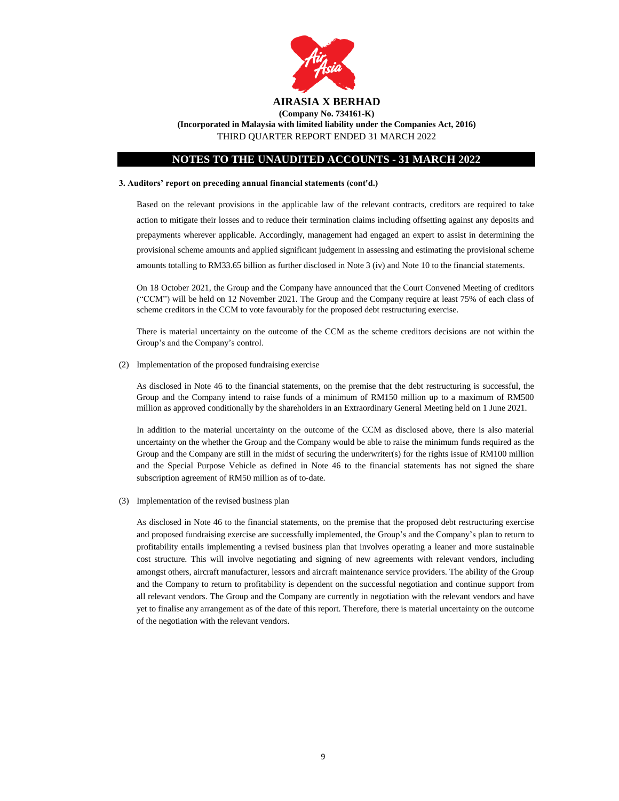

**(Incorporated in Malaysia with limited liability under the Companies Act, 2016)**

THIRD QUARTER REPORT ENDED 31 MARCH 2022

# **NOTES TO THE UNAUDITED ACCOUNTS - 31 MARCH 2022**

#### **3. Auditors' report on preceding annual financial statements (cont'd.)**

Based on the relevant provisions in the applicable law of the relevant contracts, creditors are required to take action to mitigate their losses and to reduce their termination claims including offsetting against any deposits and prepayments wherever applicable. Accordingly, management had engaged an expert to assist in determining the provisional scheme amounts and applied significant judgement in assessing and estimating the provisional scheme amounts totalling to RM33.65 billion as further disclosed in Note 3 (iv) and Note 10 to the financial statements.

On 18 October 2021, the Group and the Company have announced that the Court Convened Meeting of creditors ("CCM") will be held on 12 November 2021. The Group and the Company require at least 75% of each class of scheme creditors in the CCM to vote favourably for the proposed debt restructuring exercise.

There is material uncertainty on the outcome of the CCM as the scheme creditors decisions are not within the Group's and the Company's control.

(2) Implementation of the proposed fundraising exercise

As disclosed in Note 46 to the financial statements, on the premise that the debt restructuring is successful, the Group and the Company intend to raise funds of a minimum of RM150 million up to a maximum of RM500 million as approved conditionally by the shareholders in an Extraordinary General Meeting held on 1 June 2021.

In addition to the material uncertainty on the outcome of the CCM as disclosed above, there is also material uncertainty on the whether the Group and the Company would be able to raise the minimum funds required as the Group and the Company are still in the midst of securing the underwriter(s) for the rights issue of RM100 million and the Special Purpose Vehicle as defined in Note 46 to the financial statements has not signed the share subscription agreement of RM50 million as of to-date.

(3) Implementation of the revised business plan

As disclosed in Note 46 to the financial statements, on the premise that the proposed debt restructuring exercise and proposed fundraising exercise are successfully implemented, the Group's and the Company's plan to return to profitability entails implementing a revised business plan that involves operating a leaner and more sustainable cost structure. This will involve negotiating and signing of new agreements with relevant vendors, including amongst others, aircraft manufacturer, lessors and aircraft maintenance service providers. The ability of the Group and the Company to return to profitability is dependent on the successful negotiation and continue support from all relevant vendors. The Group and the Company are currently in negotiation with the relevant vendors and have yet to finalise any arrangement as of the date of this report. Therefore, there is material uncertainty on the outcome of the negotiation with the relevant vendors.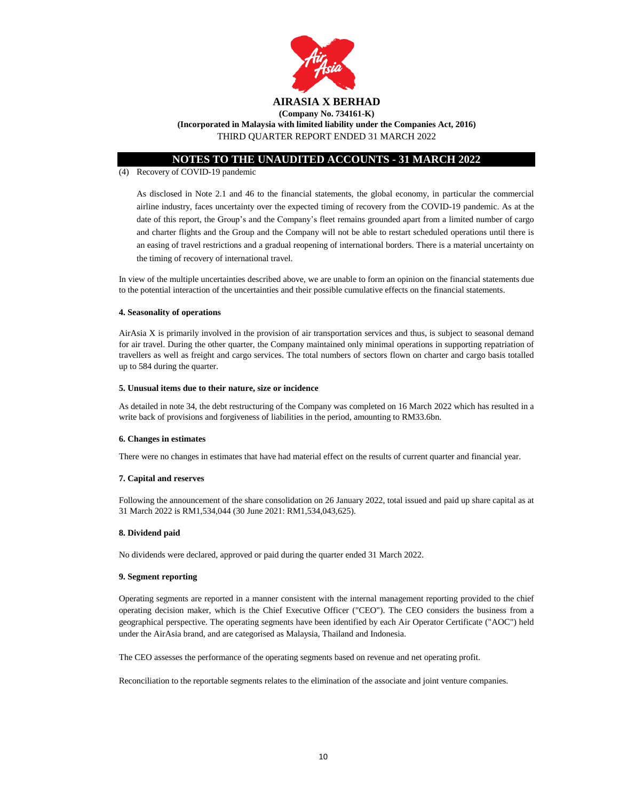

**(Incorporated in Malaysia with limited liability under the Companies Act, 2016)** THIRD QUARTER REPORT ENDED 31 MARCH 2022

# **NOTES TO THE UNAUDITED ACCOUNTS - 31 MARCH 2022**

#### (4) Recovery of COVID-19 pandemic

As disclosed in Note 2.1 and 46 to the financial statements, the global economy, in particular the commercial airline industry, faces uncertainty over the expected timing of recovery from the COVID-19 pandemic. As at the date of this report, the Group's and the Company's fleet remains grounded apart from a limited number of cargo and charter flights and the Group and the Company will not be able to restart scheduled operations until there is an easing of travel restrictions and a gradual reopening of international borders. There is a material uncertainty on the timing of recovery of international travel.

In view of the multiple uncertainties described above, we are unable to form an opinion on the financial statements due to the potential interaction of the uncertainties and their possible cumulative effects on the financial statements.

#### **4. Seasonality of operations**

AirAsia X is primarily involved in the provision of air transportation services and thus, is subject to seasonal demand for air travel. During the other quarter, the Company maintained only minimal operations in supporting repatriation of travellers as well as freight and cargo services. The total numbers of sectors flown on charter and cargo basis totalled up to 584 during the quarter.

#### **5. Unusual items due to their nature, size or incidence**

As detailed in note 34, the debt restructuring of the Company was completed on 16 March 2022 which has resulted in a write back of provisions and forgiveness of liabilities in the period, amounting to RM33.6bn.

## **6. Changes in estimates**

There were no changes in estimates that have had material effect on the results of current quarter and financial year.

## **7. Capital and reserves**

Following the announcement of the share consolidation on 26 January 2022, total issued and paid up share capital as at 31 March 2022 is RM1,534,044 (30 June 2021: RM1,534,043,625).

## **8. Dividend paid**

No dividends were declared, approved or paid during the quarter ended 31 March 2022.

## **9. Segment reporting**

Operating segments are reported in a manner consistent with the internal management reporting provided to the chief operating decision maker, which is the Chief Executive Officer ("CEO"). The CEO considers the business from a geographical perspective. The operating segments have been identified by each Air Operator Certificate ("AOC") held under the AirAsia brand, and are categorised as Malaysia, Thailand and Indonesia.

The CEO assesses the performance of the operating segments based on revenue and net operating profit.

Reconciliation to the reportable segments relates to the elimination of the associate and joint venture companies.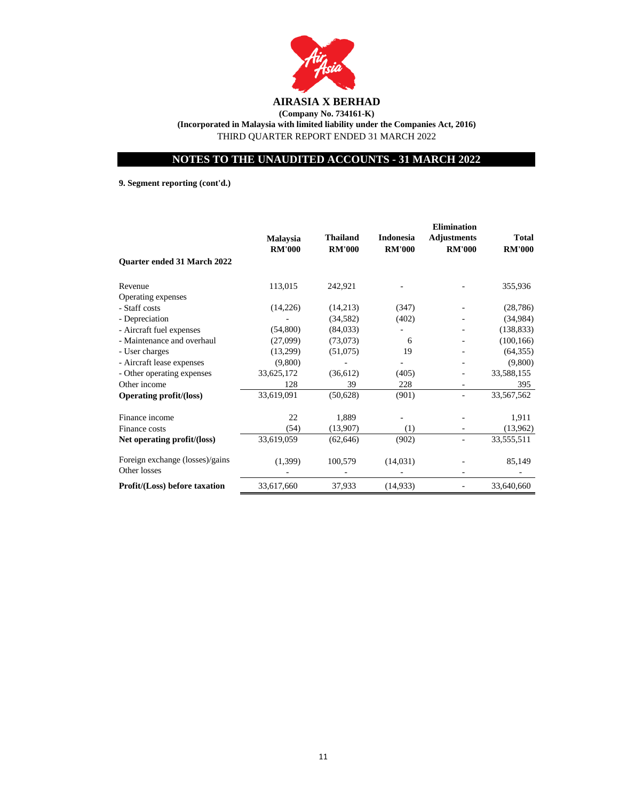

**(Incorporated in Malaysia with limited liability under the Companies Act, 2016)** THIRD QUARTER REPORT ENDED 31 MARCH 2022

# **NOTES TO THE UNAUDITED ACCOUNTS - 31 MARCH 2022**

**9. Segment reporting (cont'd.)**

|                                                 |                 |               |                  | <b>Elimination</b> |               |
|-------------------------------------------------|-----------------|---------------|------------------|--------------------|---------------|
|                                                 | <b>Malaysia</b> | Thailand      | <b>Indonesia</b> | <b>Adjustments</b> | <b>Total</b>  |
|                                                 | <b>RM'000</b>   | <b>RM'000</b> | <b>RM'000</b>    | <b>RM'000</b>      | <b>RM'000</b> |
| Quarter ended 31 March 2022                     |                 |               |                  |                    |               |
| Revenue                                         | 113,015         | 242,921       |                  |                    | 355,936       |
| Operating expenses                              |                 |               |                  |                    |               |
| - Staff costs                                   | (14,226)        | (14,213)      | (347)            |                    | (28, 786)     |
| - Depreciation                                  |                 | (34, 582)     | (402)            |                    | (34,984)      |
| - Aircraft fuel expenses                        | (54,800)        | (84,033)      |                  |                    | (138, 833)    |
| - Maintenance and overhaul                      | (27,099)        | (73,073)      | 6                |                    | (100, 166)    |
| - User charges                                  | (13,299)        | (51,075)      | 19               |                    | (64, 355)     |
| - Aircraft lease expenses                       | (9,800)         |               |                  |                    | (9,800)       |
| - Other operating expenses                      | 33,625,172      | (36,612)      | (405)            |                    | 33,588,155    |
| Other income                                    | 128             | 39            | 228              |                    | 395           |
| <b>Operating profit/(loss)</b>                  | 33,619,091      | (50,628)      | (901)            |                    | 33,567,562    |
| Finance income                                  | 22              | 1,889         |                  |                    | 1,911         |
| Finance costs                                   | (54)            | (13,907)      | (1)              |                    | (13,962)      |
| Net operating profit/(loss)                     | 33,619,059      | (62, 646)     | (902)            |                    | 33,555,511    |
| Foreign exchange (losses)/gains<br>Other losses | (1,399)         | 100,579       | (14, 031)        |                    | 85,149        |
| Profit/(Loss) before taxation                   | 33,617,660      | 37,933        | (14, 933)        |                    | 33,640,660    |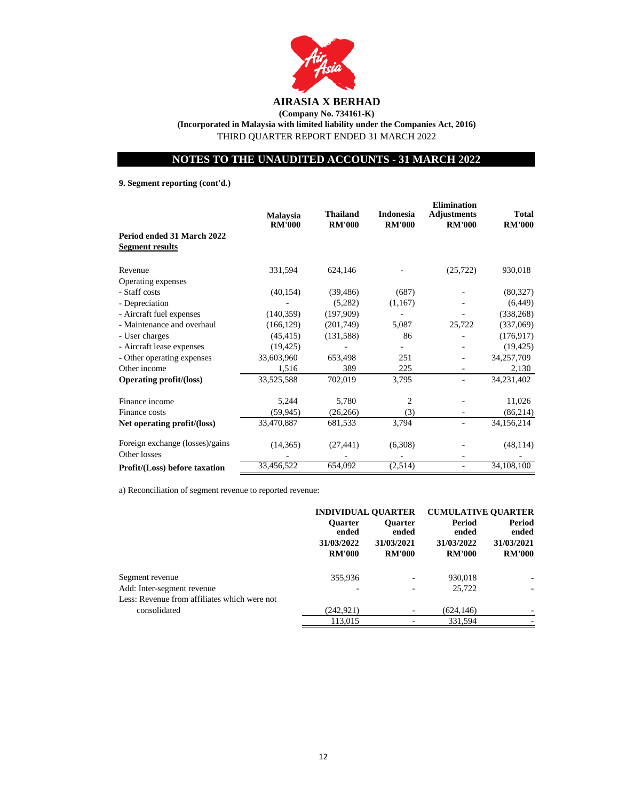

**(Incorporated in Malaysia with limited liability under the Companies Act, 2016)**

THIRD QUARTER REPORT ENDED 31 MARCH 2022

# **NOTES TO THE UNAUDITED ACCOUNTS - 31 MARCH 2022**

**9. Segment reporting (cont'd.)**

|                                                      | <b>Malaysia</b><br><b>RM'000</b> | <b>Thailand</b><br><b>RM'000</b> | <b>Indonesia</b><br><b>RM'000</b> | <b>Elimination</b><br><b>Adjustments</b><br><b>RM'000</b> | Total<br><b>RM'000</b> |
|------------------------------------------------------|----------------------------------|----------------------------------|-----------------------------------|-----------------------------------------------------------|------------------------|
| Period ended 31 March 2022<br><b>Segment results</b> |                                  |                                  |                                   |                                                           |                        |
| Revenue                                              | 331,594                          | 624,146                          |                                   | (25, 722)                                                 | 930,018                |
| Operating expenses                                   |                                  |                                  |                                   |                                                           |                        |
| - Staff costs                                        | (40, 154)                        | (39, 486)                        | (687)                             |                                                           | (80, 327)              |
| - Depreciation                                       |                                  | (5,282)                          | (1,167)                           |                                                           | (6, 449)               |
| - Aircraft fuel expenses                             | (140, 359)                       | (197,909)                        |                                   |                                                           | (338, 268)             |
| - Maintenance and overhaul                           | (166, 129)                       | (201,749)                        | 5,087                             | 25,722                                                    | (337,069)              |
| - User charges                                       | (45, 415)                        | (131, 588)                       | 86                                |                                                           | (176, 917)             |
| - Aircraft lease expenses                            | (19, 425)                        |                                  |                                   |                                                           | (19, 425)              |
| - Other operating expenses                           | 33,603,960                       | 653,498                          | 251                               |                                                           | 34,257,709             |
| Other income                                         | 1,516                            | 389                              | 225                               |                                                           | 2,130                  |
| <b>Operating profit/(loss)</b>                       | 33,525,588                       | 702,019                          | 3,795                             |                                                           | 34,231,402             |
| Finance income                                       | 5,244                            | 5,780                            | $\overline{2}$                    |                                                           | 11,026                 |
| Finance costs                                        | (59, 945)                        | (26, 266)                        | (3)                               |                                                           | (86,214)               |
| Net operating profit/(loss)                          | 33,470,887                       | 681,533                          | 3,794                             |                                                           | 34,156,214             |
| Foreign exchange (losses)/gains                      | (14, 365)                        | (27, 441)                        | (6,308)                           |                                                           | (48, 114)              |
| Other losses                                         |                                  |                                  |                                   |                                                           |                        |
| Profit/(Loss) before taxation                        | 33,456,522                       | 654,092                          | (2,514)                           |                                                           | 34, 108, 100           |

a) Reconciliation of segment revenue to reported revenue:

|                                              | <b>INDIVIDUAL QUARTER</b>                              |                                                        | <b>CUMULATIVE OUARTER</b>                      |                                                       |
|----------------------------------------------|--------------------------------------------------------|--------------------------------------------------------|------------------------------------------------|-------------------------------------------------------|
|                                              | <b>Ouarter</b><br>ended<br>31/03/2022<br><b>RM'000</b> | <b>Ouarter</b><br>ended<br>31/03/2021<br><b>RM'000</b> | Period<br>ended<br>31/03/2022<br><b>RM'000</b> | <b>Period</b><br>ended<br>31/03/2021<br><b>RM'000</b> |
|                                              |                                                        |                                                        |                                                |                                                       |
| Segment revenue                              | 355,936                                                |                                                        | 930,018                                        |                                                       |
| Add: Inter-segment revenue                   |                                                        |                                                        | 25,722                                         |                                                       |
| Less: Revenue from affiliates which were not |                                                        |                                                        |                                                |                                                       |
| consolidated                                 | (242, 921)                                             |                                                        | (624, 146)                                     |                                                       |
|                                              | 113,015                                                |                                                        | 331.594                                        |                                                       |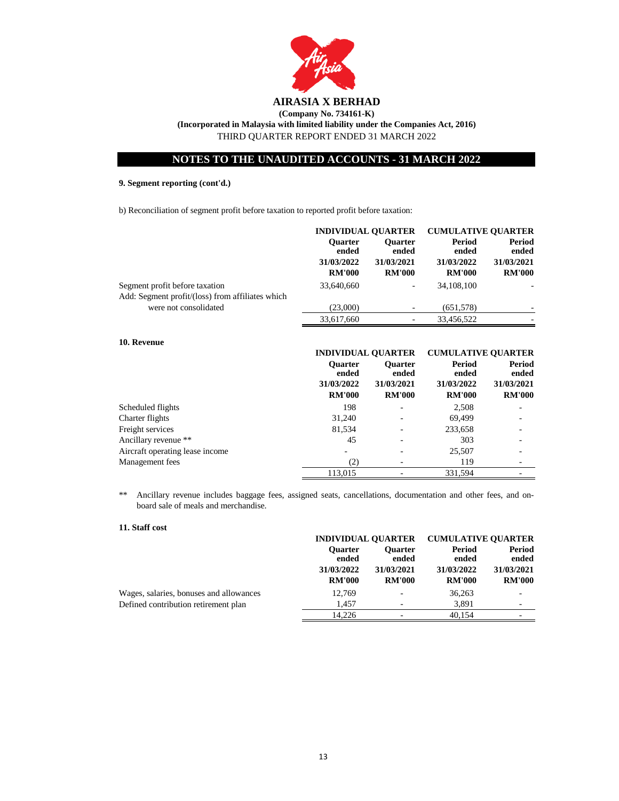

**(Incorporated in Malaysia with limited liability under the Companies Act, 2016)**

THIRD QUARTER REPORT ENDED 31 MARCH 2022

# **NOTES TO THE UNAUDITED ACCOUNTS - 31 MARCH 2022**

# **9. Segment reporting (cont'd.)**

b) Reconciliation of segment profit before taxation to reported profit before taxation:

| <b>INDIVIDUAL OUARTER</b> |                         | <b>CUMULATIVE OUARTER</b> |                        |
|---------------------------|-------------------------|---------------------------|------------------------|
| <b>Ouarter</b><br>ended   | <b>Ouarter</b><br>ended | Period<br>ended           | <b>Period</b><br>ended |
| 31/03/2022                | 31/03/2021              | 31/03/2022                | 31/03/2021             |
| <b>RM'000</b>             | <b>RM'000</b>           | <b>RM'000</b>             | <b>RM'000</b>          |
| 33,640,660                | ۰                       | 34,108,100                |                        |
| (23,000)                  |                         | (651,578)                 |                        |
| 33,617,660                |                         | 33,456,522                |                        |
|                           |                         |                           |                        |

# **10. Revenue**

|                                 |                                                        | <b>INDIVIDUAL OUARTER</b>                              |                                                | <b>CUMULATIVE OUARTER</b>                             |  |
|---------------------------------|--------------------------------------------------------|--------------------------------------------------------|------------------------------------------------|-------------------------------------------------------|--|
|                                 | <b>Ouarter</b><br>ended<br>31/03/2022<br><b>RM'000</b> | <b>Ouarter</b><br>ended<br>31/03/2021<br><b>RM'000</b> | Period<br>ended<br>31/03/2022<br><b>RM'000</b> | <b>Period</b><br>ended<br>31/03/2021<br><b>RM'000</b> |  |
| Scheduled flights               | 198                                                    |                                                        | 2,508                                          |                                                       |  |
| Charter flights                 | 31,240                                                 |                                                        | 69.499                                         |                                                       |  |
| Freight services                | 81,534                                                 | ٠                                                      | 233,658                                        |                                                       |  |
| Ancillary revenue **            | 45                                                     |                                                        | 303                                            |                                                       |  |
| Aircraft operating lease income |                                                        |                                                        | 25,507                                         |                                                       |  |
| Management fees                 | (2)                                                    |                                                        | 119                                            |                                                       |  |
|                                 | 113,015                                                |                                                        | 331.594                                        |                                                       |  |

\*\* Ancillary revenue includes baggage fees, assigned seats, cancellations, documentation and other fees, and onboard sale of meals and merchandise.

## **11. Staff cost**

|                                         | <b>INDIVIDUAL OUARTER</b> |                          | <b>CUMULATIVE OUARTER</b> |                                            |  |  |                 |
|-----------------------------------------|---------------------------|--------------------------|---------------------------|--------------------------------------------|--|--|-----------------|
|                                         | <b>Ouarter</b><br>ended   |                          |                           | Period<br><b>Ouarter</b><br>ended<br>ended |  |  | Period<br>ended |
|                                         | 31/03/2022                | 31/03/2021               | 31/03/2022                | 31/03/2021                                 |  |  |                 |
|                                         | <b>RM'000</b>             | <b>RM'000</b>            | <b>RM'000</b>             | <b>RM'000</b>                              |  |  |                 |
| Wages, salaries, bonuses and allowances | 12,769                    | $\overline{\phantom{0}}$ | 36,263                    |                                            |  |  |                 |
| Defined contribution retirement plan    | 1.457                     |                          | 3,891                     | ۰                                          |  |  |                 |
|                                         | 14.226                    |                          | 40.154                    | $\overline{\phantom{a}}$                   |  |  |                 |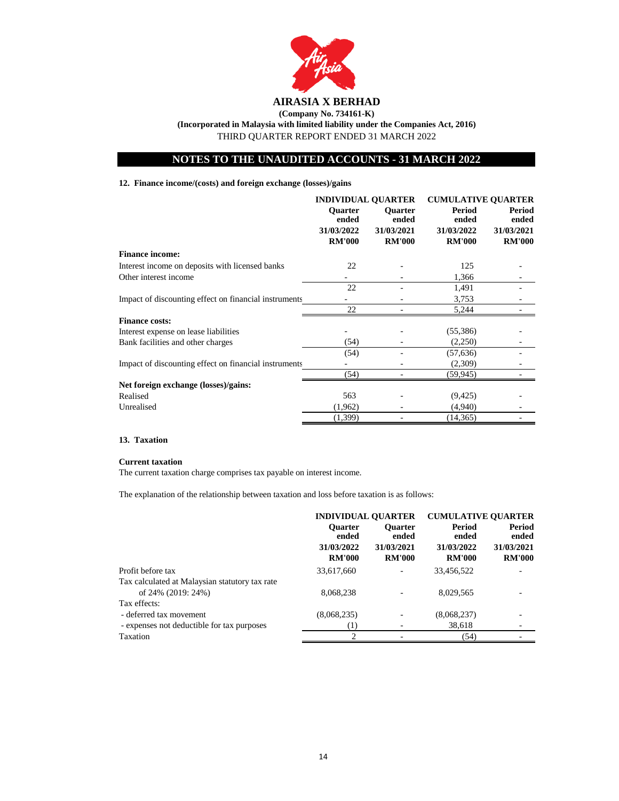

**(Company No. 734161-K) (Incorporated in Malaysia with limited liability under the Companies Act, 2016)**

THIRD QUARTER REPORT ENDED 31 MARCH 2022

# **NOTES TO THE UNAUDITED ACCOUNTS - 31 MARCH 2022**

# **12. Finance income/(costs) and foreign exchange (losses)/gains**

|                                                       | <b>INDIVIDUAL QUARTER</b>   |                             | <b>CUMULATIVE OUARTER</b>   |                             |
|-------------------------------------------------------|-----------------------------|-----------------------------|-----------------------------|-----------------------------|
|                                                       | <b>Ouarter</b><br>ended     | <b>Ouarter</b><br>ended     | Period<br>ended             | <b>Period</b><br>ended      |
|                                                       | 31/03/2022<br><b>RM'000</b> | 31/03/2021<br><b>RM'000</b> | 31/03/2022<br><b>RM'000</b> | 31/03/2021<br><b>RM'000</b> |
| <b>Finance income:</b>                                |                             |                             |                             |                             |
| Interest income on deposits with licensed banks       | 22                          |                             | 125                         |                             |
| Other interest income                                 |                             |                             | 1,366                       |                             |
|                                                       | 22                          |                             | 1,491                       |                             |
| Impact of discounting effect on financial instruments |                             |                             | 3,753                       |                             |
|                                                       | 22                          |                             | 5,244                       |                             |
| <b>Finance costs:</b>                                 |                             |                             |                             |                             |
| Interest expense on lease liabilities                 |                             |                             | (55,386)                    |                             |
| Bank facilities and other charges                     | (54)                        |                             | (2,250)                     |                             |
|                                                       | (54)                        |                             | (57, 636)                   |                             |
| Impact of discounting effect on financial instruments |                             |                             | (2,309)                     |                             |
|                                                       | (54)                        |                             | (59,945)                    |                             |
| Net foreign exchange (losses)/gains:                  |                             |                             |                             |                             |
| Realised                                              | 563                         |                             | (9,425)                     |                             |
| Unrealised                                            | (1,962)                     |                             | (4,940)                     |                             |
|                                                       | (1,399)                     |                             | (14, 365)                   |                             |

# **13. Taxation**

#### **Current taxation**

The current taxation charge comprises tax payable on interest income.

The explanation of the relationship between taxation and loss before taxation is as follows:

|                                                | <b>INDIVIDUAL QUARTER</b> |                         | <b>CUMULATIVE QUARTER</b> |                 |
|------------------------------------------------|---------------------------|-------------------------|---------------------------|-----------------|
|                                                | <b>Ouarter</b><br>ended   | <b>Ouarter</b><br>ended | Period<br>ended           | Period<br>ended |
|                                                | 31/03/2022                | 31/03/2021              | 31/03/2022                | 31/03/2021      |
|                                                | <b>RM'000</b>             | <b>RM'000</b>           | <b>RM'000</b>             | <b>RM'000</b>   |
| Profit before tax                              | 33,617,660                |                         | 33,456,522                |                 |
| Tax calculated at Malaysian statutory tax rate |                           |                         |                           |                 |
| of 24% (2019: 24%)                             | 8,068,238                 |                         | 8,029,565                 |                 |
| Tax effects:                                   |                           |                         |                           |                 |
| - deferred tax movement                        | (8,068,235)               |                         | (8,068,237)               |                 |
| - expenses not deductible for tax purposes     | $\left(1\right)$          |                         | 38,618                    |                 |
| Taxation                                       | ↑                         |                         | (54)                      |                 |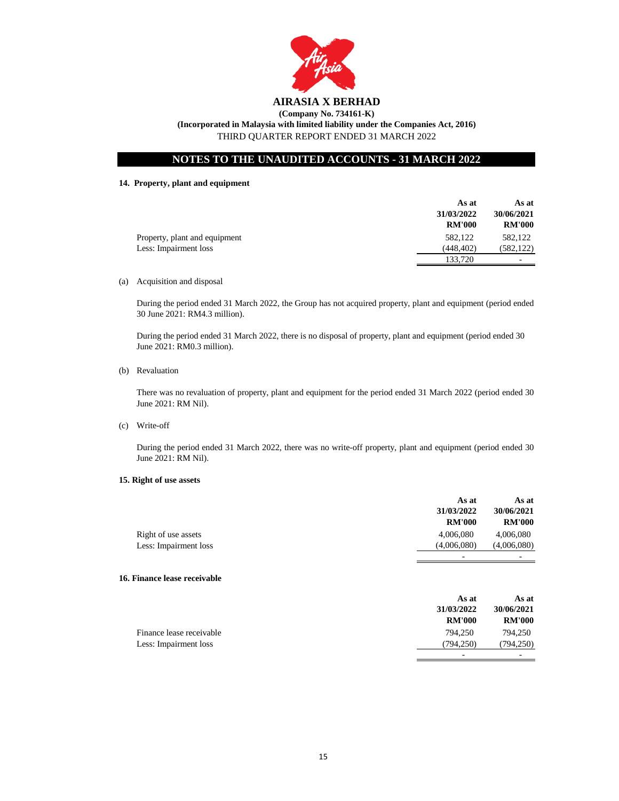

**(Incorporated in Malaysia with limited liability under the Companies Act, 2016)** THIRD QUARTER REPORT ENDED 31 MARCH 2022

# **NOTES TO THE UNAUDITED ACCOUNTS - 31 MARCH 2022**

**14. Property, plant and equipment**

|                               | As at         | As at         |
|-------------------------------|---------------|---------------|
|                               | 31/03/2022    | 30/06/2021    |
|                               | <b>RM'000</b> | <b>RM'000</b> |
| Property, plant and equipment | 582,122       | 582,122       |
| Less: Impairment loss         | (448, 402)    | (582, 122)    |
|                               | 133.720       | -             |

(a) Acquisition and disposal

During the period ended 31 March 2022, the Group has not acquired property, plant and equipment (period ended 30 June 2021: RM4.3 million).

During the period ended 31 March 2022, there is no disposal of property, plant and equipment (period ended 30 June 2021: RM0.3 million).

(b) Revaluation

There was no revaluation of property, plant and equipment for the period ended 31 March 2022 (period ended 30 June 2021: RM Nil).

(c) Write-off

During the period ended 31 March 2022, there was no write-off property, plant and equipment (period ended 30 June 2021: RM Nil).

## **15. Right of use assets**

|                       | As at<br>31/03/2022<br><b>RM'000</b> | As at<br>30/06/2021<br><b>RM'000</b> |
|-----------------------|--------------------------------------|--------------------------------------|
| Right of use assets   | 4,006,080                            | 4,006,080                            |
| Less: Impairment loss | (4,006,080)                          | (4,006,080)                          |
|                       | $\overline{\phantom{0}}$             | -                                    |

### **16. Finance lease receivable**

|                          | As at<br>31/03/2022 | As at<br>30/06/2021 |
|--------------------------|---------------------|---------------------|
|                          | <b>RM'000</b>       | <b>RM'000</b>       |
| Finance lease receivable | 794.250             | 794.250             |
| Less: Impairment loss    | (794.250)           | (794, 250)          |
|                          | -                   |                     |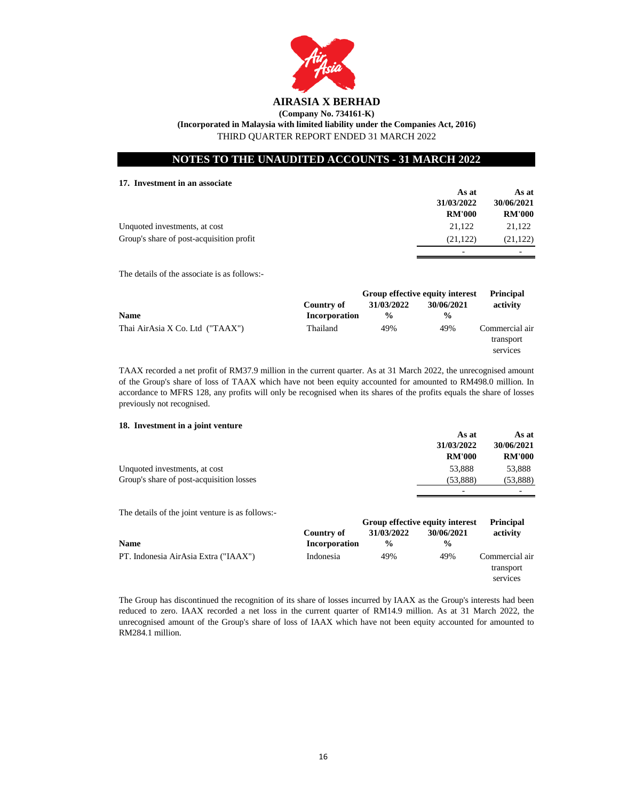

**(Company No. 734161-K) (Incorporated in Malaysia with limited liability under the Companies Act, 2016)**

THIRD QUARTER REPORT ENDED 31 MARCH 2022

# **NOTES TO THE UNAUDITED ACCOUNTS - 31 MARCH 2022**

# **17. Investment in an associate**

|                                          | As at         | As at         |
|------------------------------------------|---------------|---------------|
|                                          | 31/03/2022    | 30/06/2021    |
|                                          | <b>RM'000</b> | <b>RM'000</b> |
| Unquoted investments, at cost            | 21.122        | 21.122        |
| Group's share of post-acquisition profit | (21, 122)     | (21, 122)     |
|                                          | -             | -             |

The details of the associate is as follows:-

|                                 |               | Group effective equity interest |               | <b>Principal</b>                        |
|---------------------------------|---------------|---------------------------------|---------------|-----------------------------------------|
|                                 | Country of    | 31/03/2022                      | 30/06/2021    | activity                                |
| <b>Name</b>                     | Incorporation | $\frac{0}{0}$                   | $\frac{0}{0}$ |                                         |
| Thai AirAsia X Co. Ltd ("TAAX") | Thailand      | 49%                             | 49%           | Commercial air<br>transport<br>services |

TAAX recorded a net profit of RM37.9 million in the current quarter. As at 31 March 2022, the unrecognised amount of the Group's share of loss of TAAX which have not been equity accounted for amounted to RM498.0 million. In accordance to MFRS 128, any profits will only be recognised when its shares of the profits equals the share of losses previously not recognised.

# **18. Investment in a joint venture**

|                                          | As at         | As at         |
|------------------------------------------|---------------|---------------|
|                                          | 31/03/2022    | 30/06/2021    |
|                                          | <b>RM'000</b> | <b>RM'000</b> |
| Unquoted investments, at cost            | 53,888        | 53.888        |
| Group's share of post-acquisition losses | (53,888)      | (53, 888)     |
|                                          | -             | -             |

The details of the joint venture is as follows:-

|                                      |               | Group effective equity interest |               | <b>Principal</b>                        |
|--------------------------------------|---------------|---------------------------------|---------------|-----------------------------------------|
|                                      | Country of    | 31/03/2022                      | 30/06/2021    | activity                                |
| <b>Name</b>                          | Incorporation | $\frac{0}{0}$                   | $\frac{0}{0}$ |                                         |
| PT. Indonesia AirAsia Extra ("IAAX") | Indonesia     | 49%                             | 49%           | Commercial air<br>transport<br>services |

The Group has discontinued the recognition of its share of losses incurred by IAAX as the Group's interests had been reduced to zero. IAAX recorded a net loss in the current quarter of RM14.9 million. As at 31 March 2022, the unrecognised amount of the Group's share of loss of IAAX which have not been equity accounted for amounted to RM284.1 million.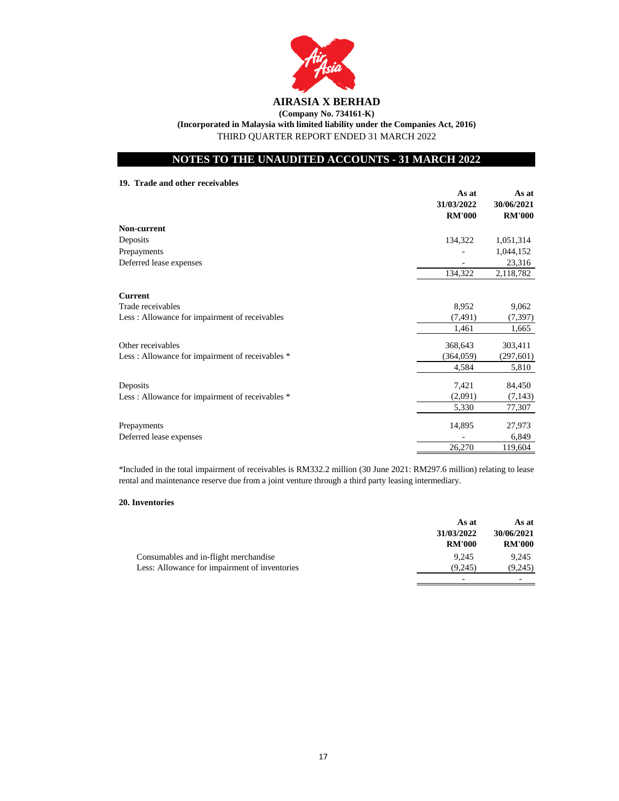

**(Incorporated in Malaysia with limited liability under the Companies Act, 2016)**

THIRD QUARTER REPORT ENDED 31 MARCH 2022

# **NOTES TO THE UNAUDITED ACCOUNTS - 31 MARCH 2022**

**19. Trade and other receivables**

|                                                 | As at                       | As at                       |
|-------------------------------------------------|-----------------------------|-----------------------------|
|                                                 | 31/03/2022<br><b>RM'000</b> | 30/06/2021<br><b>RM'000</b> |
| Non-current                                     |                             |                             |
| Deposits                                        | 134,322                     | 1,051,314                   |
| Prepayments                                     |                             | 1,044,152                   |
| Deferred lease expenses                         |                             | 23,316                      |
|                                                 | 134,322                     | 2,118,782                   |
| <b>Current</b>                                  |                             |                             |
| Trade receivables                               | 8,952                       | 9,062                       |
| Less: Allowance for impairment of receivables   | (7, 491)                    | (7, 397)                    |
|                                                 | 1,461                       | 1,665                       |
| Other receivables                               | 368,643                     | 303,411                     |
| Less: Allowance for impairment of receivables * | (364, 059)                  | (297, 601)                  |
|                                                 | 4,584                       | 5,810                       |
| Deposits                                        | 7,421                       | 84,450                      |
| Less: Allowance for impairment of receivables * | (2,091)                     | (7, 143)                    |
|                                                 | 5,330                       | 77,307                      |
| Prepayments                                     | 14,895                      | 27,973                      |
| Deferred lease expenses                         |                             | 6,849                       |
|                                                 | 26,270                      | 119,604                     |

\*Included in the total impairment of receivables is RM332.2 million (30 June 2021: RM297.6 million) relating to lease rental and maintenance reserve due from a joint venture through a third party leasing intermediary.

# **20. Inventories**

|                                               | As at         | As at         |
|-----------------------------------------------|---------------|---------------|
|                                               | 31/03/2022    | 30/06/2021    |
|                                               | <b>RM'000</b> | <b>RM'000</b> |
| Consumables and in-flight merchandise         | 9.245         | 9.245         |
| Less: Allowance for impairment of inventories | (9.245)       | (9,245)       |
|                                               | -             |               |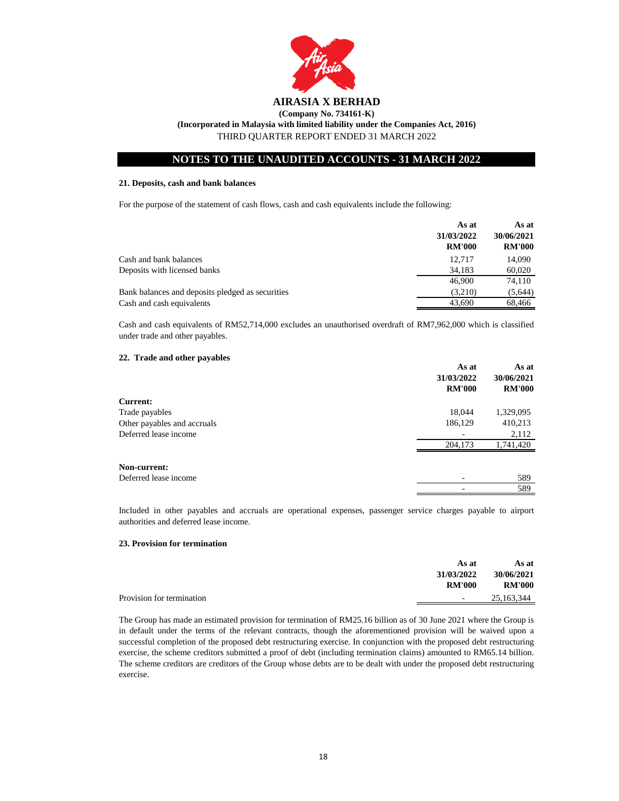

**(Incorporated in Malaysia with limited liability under the Companies Act, 2016)**

THIRD QUARTER REPORT ENDED 31 MARCH 2022

# **NOTES TO THE UNAUDITED ACCOUNTS - 31 MARCH 2022**

## **21. Deposits, cash and bank balances**

For the purpose of the statement of cash flows, cash and cash equivalents include the following:

|                                                  | As at<br>31/03/2022 | As at<br>30/06/2021 |
|--------------------------------------------------|---------------------|---------------------|
|                                                  | <b>RM'000</b>       | <b>RM'000</b>       |
| Cash and bank balances                           | 12.717              | 14.090              |
| Deposits with licensed banks                     | 34.183              | 60,020              |
|                                                  | 46,900              | 74.110              |
| Bank balances and deposits pledged as securities | (3,210)             | (5,644)             |
| Cash and cash equivalents                        | 43.690              | 68,466              |

Cash and cash equivalents of RM52,714,000 excludes an unauthorised overdraft of RM7,962,000 which is classified under trade and other payables.

## **22. Trade and other payables**

|                             | As at<br>31/03/2022<br><b>RM'000</b> | As at<br>30/06/2021<br><b>RM'000</b> |
|-----------------------------|--------------------------------------|--------------------------------------|
|                             |                                      |                                      |
|                             |                                      |                                      |
| <b>Current:</b>             |                                      |                                      |
| Trade payables              | 18,044                               | 1,329,095                            |
| Other payables and accruals | 186,129                              | 410,213                              |
| Deferred lease income       |                                      | 2,112                                |
|                             | 204,173                              | 1,741,420                            |
|                             |                                      |                                      |
| Non-current:                |                                      |                                      |
| Deferred lease income       |                                      | 589                                  |
|                             |                                      | 589                                  |

Included in other payables and accruals are operational expenses, passenger service charges payable to airport authorities and deferred lease income.

## **23. Provision for termination**

|                           | As at         | As at         |
|---------------------------|---------------|---------------|
|                           | 31/03/2022    | 30/06/2021    |
|                           | <b>RM'000</b> | <b>RM'000</b> |
| Provision for termination | $\sim$        | 25,163,344    |
|                           |               |               |

The Group has made an estimated provision for termination of RM25.16 billion as of 30 June 2021 where the Group is in default under the terms of the relevant contracts, though the aforementioned provision will be waived upon a successful completion of the proposed debt restructuring exercise. In conjunction with the proposed debt restructuring exercise, the scheme creditors submitted a proof of debt (including termination claims) amounted to RM65.14 billion. The scheme creditors are creditors of the Group whose debts are to be dealt with under the proposed debt restructuring exercise.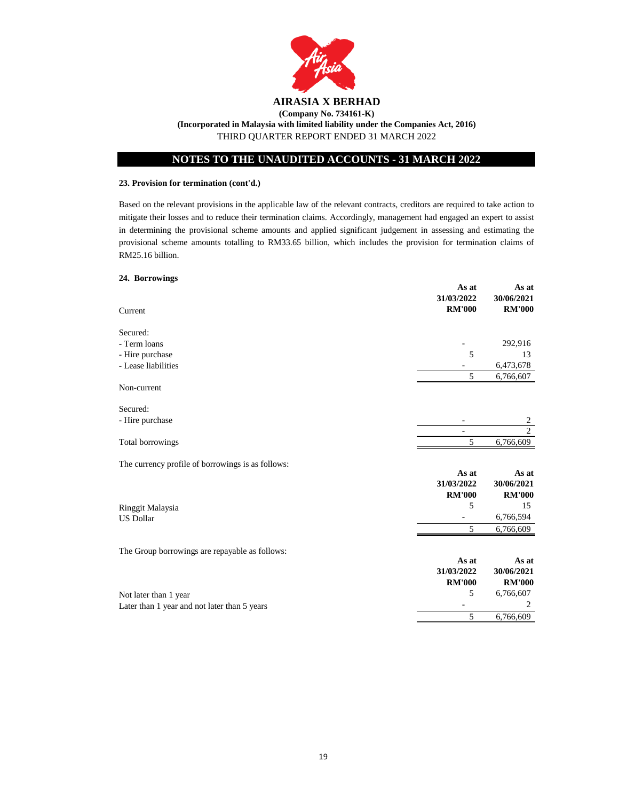

# **NOTES TO THE UNAUDITED ACCOUNTS - 31 MARCH 2022**

# **23. Provision for termination (cont'd.)**

Based on the relevant provisions in the applicable law of the relevant contracts, creditors are required to take action to mitigate their losses and to reduce their termination claims. Accordingly, management had engaged an expert to assist in determining the provisional scheme amounts and applied significant judgement in assessing and estimating the provisional scheme amounts totalling to RM33.65 billion, which includes the provision for termination claims of RM25.16 billion.

# **24. Borrowings**

| 292,916<br>- Hire purchase<br>5<br>13<br>6,473,678<br>5<br>6,766,607<br>2<br>$\overline{2}$<br>5<br>6,766,609<br>As at<br>As at<br>31/03/2022<br>30/06/2021<br><b>RM'000</b><br><b>RM'000</b><br>5<br>15<br>6,766,594<br><b>US Dollar</b><br>5<br>6,766,609<br>The Group borrowings are repayable as follows:<br>As at<br>As at<br>31/03/2022<br>30/06/2021<br><b>RM'000</b><br><b>RM'000</b><br>5<br>6,766,607<br>$\overline{c}$<br>$\overline{a}$<br>5<br>6,766,609 | $\cdots$ $\cdots$<br>Current                      | As at<br>31/03/2022<br><b>RM'000</b> | As at<br>30/06/2021<br><b>RM'000</b> |
|-----------------------------------------------------------------------------------------------------------------------------------------------------------------------------------------------------------------------------------------------------------------------------------------------------------------------------------------------------------------------------------------------------------------------------------------------------------------------|---------------------------------------------------|--------------------------------------|--------------------------------------|
|                                                                                                                                                                                                                                                                                                                                                                                                                                                                       | Secured:                                          |                                      |                                      |
|                                                                                                                                                                                                                                                                                                                                                                                                                                                                       | - Term loans                                      |                                      |                                      |
|                                                                                                                                                                                                                                                                                                                                                                                                                                                                       |                                                   |                                      |                                      |
|                                                                                                                                                                                                                                                                                                                                                                                                                                                                       | - Lease liabilities                               |                                      |                                      |
|                                                                                                                                                                                                                                                                                                                                                                                                                                                                       |                                                   |                                      |                                      |
|                                                                                                                                                                                                                                                                                                                                                                                                                                                                       | Non-current                                       |                                      |                                      |
|                                                                                                                                                                                                                                                                                                                                                                                                                                                                       | Secured:                                          |                                      |                                      |
|                                                                                                                                                                                                                                                                                                                                                                                                                                                                       | - Hire purchase                                   |                                      |                                      |
|                                                                                                                                                                                                                                                                                                                                                                                                                                                                       |                                                   |                                      |                                      |
|                                                                                                                                                                                                                                                                                                                                                                                                                                                                       | Total borrowings                                  |                                      |                                      |
|                                                                                                                                                                                                                                                                                                                                                                                                                                                                       | The currency profile of borrowings is as follows: |                                      |                                      |
|                                                                                                                                                                                                                                                                                                                                                                                                                                                                       |                                                   |                                      |                                      |
|                                                                                                                                                                                                                                                                                                                                                                                                                                                                       |                                                   |                                      |                                      |
|                                                                                                                                                                                                                                                                                                                                                                                                                                                                       |                                                   |                                      |                                      |
|                                                                                                                                                                                                                                                                                                                                                                                                                                                                       | Ringgit Malaysia                                  |                                      |                                      |
|                                                                                                                                                                                                                                                                                                                                                                                                                                                                       |                                                   |                                      |                                      |
|                                                                                                                                                                                                                                                                                                                                                                                                                                                                       |                                                   |                                      |                                      |
|                                                                                                                                                                                                                                                                                                                                                                                                                                                                       |                                                   |                                      |                                      |
|                                                                                                                                                                                                                                                                                                                                                                                                                                                                       |                                                   |                                      |                                      |
|                                                                                                                                                                                                                                                                                                                                                                                                                                                                       |                                                   |                                      |                                      |
|                                                                                                                                                                                                                                                                                                                                                                                                                                                                       |                                                   |                                      |                                      |
|                                                                                                                                                                                                                                                                                                                                                                                                                                                                       | Not later than 1 year                             |                                      |                                      |
|                                                                                                                                                                                                                                                                                                                                                                                                                                                                       | Later than 1 year and not later than 5 years      |                                      |                                      |
|                                                                                                                                                                                                                                                                                                                                                                                                                                                                       |                                                   |                                      |                                      |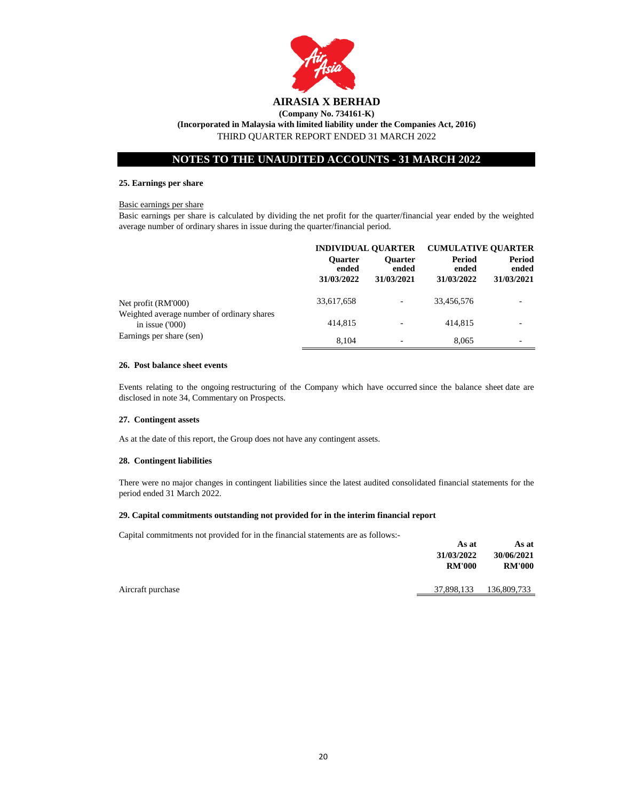

**(Incorporated in Malaysia with limited liability under the Companies Act, 2016)**

THIRD QUARTER REPORT ENDED 31 MARCH 2022

# **NOTES TO THE UNAUDITED ACCOUNTS - 31 MARCH 2022**

## **25. Earnings per share**

## Basic earnings per share

Basic earnings per share is calculated by dividing the net profit for the quarter/financial year ended by the weighted average number of ordinary shares in issue during the quarter/financial period.

|                                                                | <b>INDIVIDUAL OUARTER</b>             |                                       | <b>CUMULATIVE OUARTER</b>     |                               |
|----------------------------------------------------------------|---------------------------------------|---------------------------------------|-------------------------------|-------------------------------|
|                                                                | <b>Ouarter</b><br>ended<br>31/03/2022 | <b>Ouarter</b><br>ended<br>31/03/2021 | Period<br>ended<br>31/03/2022 | Period<br>ended<br>31/03/2021 |
| Net profit (RM'000)                                            | 33,617,658                            | ٠                                     | 33,456,576                    |                               |
| Weighted average number of ordinary shares<br>in issue $(000)$ | 414,815                               | $\overline{\phantom{0}}$              | 414,815                       |                               |
| Earnings per share (sen)                                       | 8.104                                 | $\overline{\phantom{0}}$              | 8,065                         |                               |

## **26. Post balance sheet events**

Events relating to the ongoing restructuring of the Company which have occurred since the balance sheet date are disclosed in note 34, Commentary on Prospects.

## **27. Contingent assets**

As at the date of this report, the Group does not have any contingent assets.

## **28. Contingent liabilities**

There were no major changes in contingent liabilities since the latest audited consolidated financial statements for the period ended 31 March 2022.

## **29. Capital commitments outstanding not provided for in the interim financial report**

Capital commitments not provided for in the financial statements are as follows:-

| As at         | As at         |
|---------------|---------------|
| 31/03/2022    | 30/06/2021    |
| <b>RM'000</b> | <b>RM'000</b> |
| 37,898,133    | 136,809,733   |
|               |               |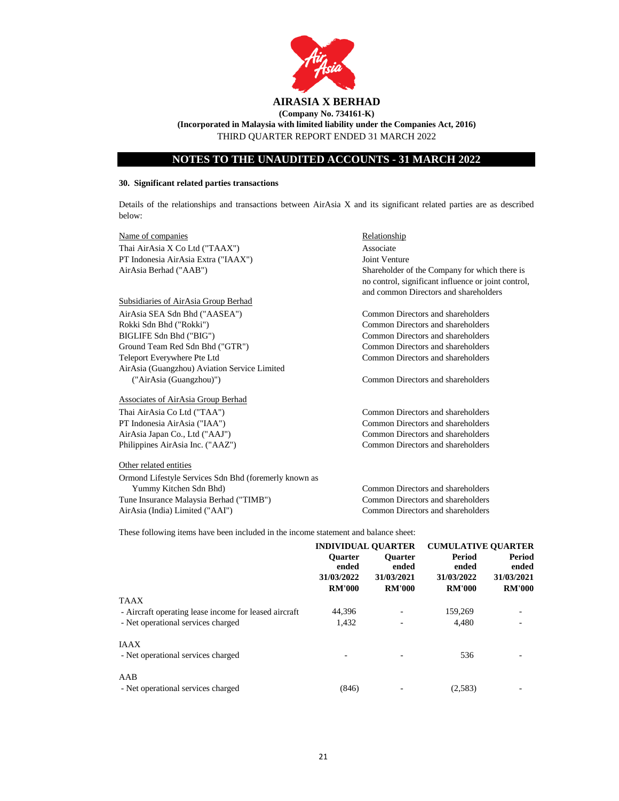

**(Incorporated in Malaysia with limited liability under the Companies Act, 2016)** THIRD QUARTER REPORT ENDED 31 MARCH 2022

# **NOTES TO THE UNAUDITED ACCOUNTS - 31 MARCH 2022**

#### **30. Significant related parties transactions**

Details of the relationships and transactions between AirAsia X and its significant related parties are as described below:

Name of companies Relationship Thai AirAsia X Co Ltd ("TAAX") Associate PT Indonesia AirAsia Extra ("IAAX") Joint Venture AirAsia Berhad ("AAB")

## Subsidiaries of AirAsia Group Berhad

AirAsia SEA Sdn Bhd ("AASEA") Common Directors and shareholders Rokki Sdn Bhd ("Rokki") Common Directors and shareholders BIGLIFE Sdn Bhd ("BIG") Common Directors and shareholders Ground Team Red Sdn Bhd ("GTR") Common Directors and shareholders Teleport Everywhere Pte Ltd Common Directors and shareholders AirAsia (Guangzhou) Aviation Service Limited ("AirAsia (Guangzhou)") Common Directors and shareholders

Associates of AirAsia Group Berhad

#### Other related entities

Ormond Lifestyle Services Sdn Bhd (foremerly known as Yummy Kitchen Sdn Bhd) Common Directors and shareholders Tune Insurance Malaysia Berhad ("TIMB") Common Directors and shareholders AirAsia (India) Limited ("AAI") Common Directors and shareholders

Shareholder of the Company for which there is no control, significant influence or joint control, and common Directors and shareholders

Thai AirAsia Co Ltd ("TAA") Common Directors and shareholders PT Indonesia AirAsia ("IAA") Common Directors and shareholders AirAsia Japan Co., Ltd ("AAJ") Common Directors and shareholders Philippines AirAsia Inc. ("AAZ") Common Directors and shareholders

These following items have been included in the income statement and balance sheet:

|                                                       | <b>INDIVIDUAL OUARTER</b> |                         | <b>CUMULATIVE OUARTER</b> |                 |
|-------------------------------------------------------|---------------------------|-------------------------|---------------------------|-----------------|
|                                                       | <b>Ouarter</b><br>ended   | <b>Ouarter</b><br>ended | Period<br>ended           | Period<br>ended |
|                                                       | 31/03/2022                | 31/03/2021              | 31/03/2022                | 31/03/2021      |
|                                                       | <b>RM'000</b>             | <b>RM'000</b>           | <b>RM'000</b>             | <b>RM'000</b>   |
| <b>TAAX</b>                                           |                           |                         |                           |                 |
| - Aircraft operating lease income for leased aircraft | 44.396                    |                         | 159,269                   |                 |
| - Net operational services charged                    | 1.432                     |                         | 4.480                     |                 |
| <b>IAAX</b>                                           |                           |                         |                           |                 |
| - Net operational services charged                    |                           |                         | 536                       |                 |
| AAB                                                   |                           |                         |                           |                 |
| - Net operational services charged                    | (846)                     |                         | (2,583)                   |                 |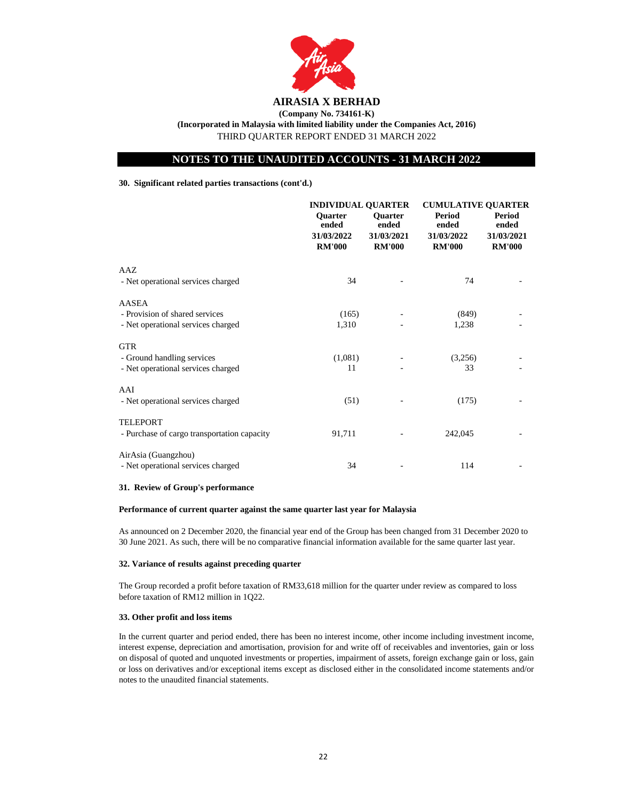

**(Company No. 734161-K) (Incorporated in Malaysia with limited liability under the Companies Act, 2016)** THIRD QUARTER REPORT ENDED 31 MARCH 2022

# **NOTES TO THE UNAUDITED ACCOUNTS - 31 MARCH 2022**

## **30. Significant related parties transactions (cont'd.)**

|                                                                                | <b>INDIVIDUAL QUARTER</b>                              |                                                        | <b>CUMULATIVE QUARTER</b>                      |                                                |
|--------------------------------------------------------------------------------|--------------------------------------------------------|--------------------------------------------------------|------------------------------------------------|------------------------------------------------|
|                                                                                | <b>Ouarter</b><br>ended<br>31/03/2022<br><b>RM'000</b> | <b>Ouarter</b><br>ended<br>31/03/2021<br><b>RM'000</b> | Period<br>ended<br>31/03/2022<br><b>RM'000</b> | Period<br>ended<br>31/03/2021<br><b>RM'000</b> |
| AAZ<br>- Net operational services charged                                      | 34                                                     |                                                        | 74                                             |                                                |
| AASEA<br>- Provision of shared services<br>- Net operational services charged  | (165)<br>1,310                                         |                                                        | (849)<br>1,238                                 |                                                |
| <b>GTR</b><br>- Ground handling services<br>- Net operational services charged | (1,081)<br>11                                          |                                                        | (3,256)<br>33                                  |                                                |
| AAI<br>- Net operational services charged                                      | (51)                                                   |                                                        | (175)                                          |                                                |
| <b>TELEPORT</b><br>- Purchase of cargo transportation capacity                 | 91,711                                                 |                                                        | 242,045                                        |                                                |
| AirAsia (Guangzhou)<br>- Net operational services charged                      | 34                                                     |                                                        | 114                                            |                                                |

## **31. Review of Group's performance**

## **Performance of current quarter against the same quarter last year for Malaysia**

As announced on 2 December 2020, the financial year end of the Group has been changed from 31 December 2020 to 30 June 2021. As such, there will be no comparative financial information available for the same quarter last year.

## **32. Variance of results against preceding quarter**

The Group recorded a profit before taxation of RM33,618 million for the quarter under review as compared to loss before taxation of RM12 million in 1Q22.

# **33. Other profit and loss items**

In the current quarter and period ended, there has been no interest income, other income including investment income, interest expense, depreciation and amortisation, provision for and write off of receivables and inventories, gain or loss on disposal of quoted and unquoted investments or properties, impairment of assets, foreign exchange gain or loss, gain or loss on derivatives and/or exceptional items except as disclosed either in the consolidated income statements and/or notes to the unaudited financial statements.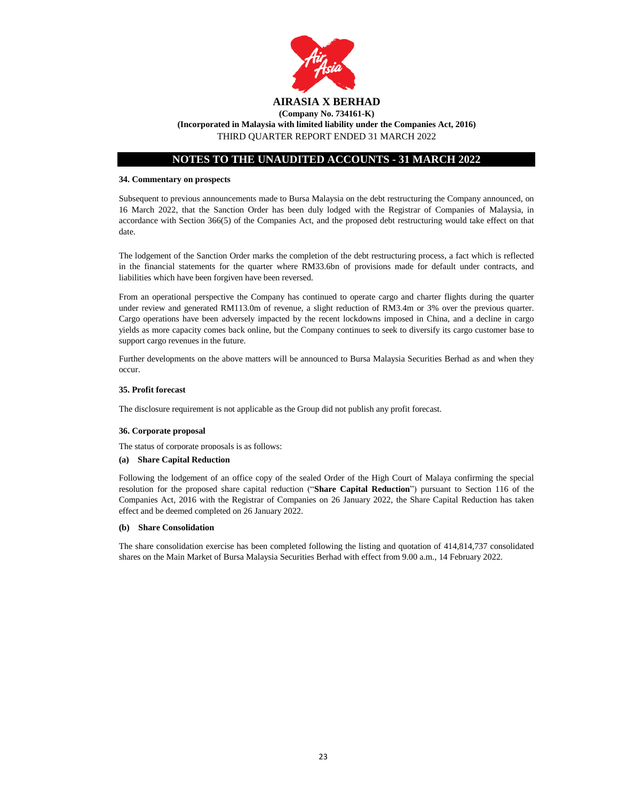

**(Incorporated in Malaysia with limited liability under the Companies Act, 2016)**

THIRD QUARTER REPORT ENDED 31 MARCH 2022

# **NOTES TO THE UNAUDITED ACCOUNTS - 31 MARCH 2022**

## **34. Commentary on prospects**

Subsequent to previous announcements made to Bursa Malaysia on the debt restructuring the Company announced, on 16 March 2022, that the Sanction Order has been duly lodged with the Registrar of Companies of Malaysia, in accordance with Section 366(5) of the Companies Act, and the proposed debt restructuring would take effect on that date.

The lodgement of the Sanction Order marks the completion of the debt restructuring process, a fact which is reflected in the financial statements for the quarter where RM33.6bn of provisions made for default under contracts, and liabilities which have been forgiven have been reversed.

From an operational perspective the Company has continued to operate cargo and charter flights during the quarter under review and generated RM113.0m of revenue, a slight reduction of RM3.4m or 3% over the previous quarter. Cargo operations have been adversely impacted by the recent lockdowns imposed in China, and a decline in cargo yields as more capacity comes back online, but the Company continues to seek to diversify its cargo customer base to support cargo revenues in the future.

Further developments on the above matters will be announced to Bursa Malaysia Securities Berhad as and when they occur.

## **35. Profit forecast**

The disclosure requirement is not applicable as the Group did not publish any profit forecast.

## **36. Corporate proposal**

The status of corporate proposals is as follows:

#### **(a) Share Capital Reduction**

Following the lodgement of an office copy of the sealed Order of the High Court of Malaya confirming the special resolution for the proposed share capital reduction ("**Share Capital Reduction**") pursuant to Section 116 of the Companies Act, 2016 with the Registrar of Companies on 26 January 2022, the Share Capital Reduction has taken effect and be deemed completed on 26 January 2022.

#### **(b) Share Consolidation**

The share consolidation exercise has been completed following the listing and quotation of 414,814,737 consolidated shares on the Main Market of Bursa Malaysia Securities Berhad with effect from 9.00 a.m., 14 February 2022.